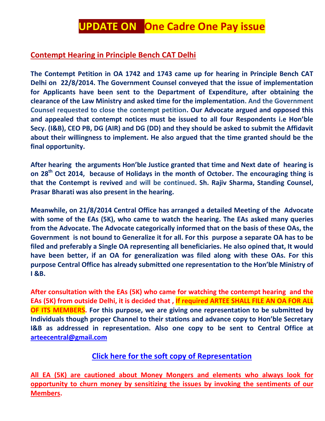## **UPDATE ON One Cadre One Pay issue**

## **Contempt Hearing in Principle Bench CAT Delhi**

**The Contempt Petition in OA 1742 and 1743 came up for hearing in Principle Bench CAT Delhi on 22/8/2014. The Government Counsel conveyed that the issue of implementation for Applicants have been sent to the Department of Expenditure, after obtaining the clearance of the Law Ministry and asked time for the implementation. And the Government Counsel requested to close the contempt petition. Our Advocate argued and opposed this and appealed that contempt notices must be issued to all four Respondents i.e Hon'ble Secy. (I&B), CEO PB, DG (AIR) and DG (DD) and they should be asked to submit the Affidavit about their willingness to implement. He also argued that the time granted should be the final opportunity.**

**After hearing the arguments Hon'ble Justice granted that time and Next date of hearing is on 28th Oct 2014, because of Holidays in the month of October. The encouraging thing is that the Contempt is revived and will be continued. Sh. Rajiv Sharma, Standing Counsel, Prasar Bharati was also present in the hearing.**

**Meanwhile, on 21/8/2014 Central Office has arranged a detailed Meeting of the Advocate with some of the EAs (5K), who came to watch the hearing. The EAs asked many queries from the Advocate. The Advocate categorically informed that on the basis of these OAs, the Government is not bound to Generalize it for all. For this purpose a separate OA has to be filed and preferably a Single OA representing all beneficiaries. He also opined that, It would have been better, if an OA for generalization was filed along with these OAs. For this purpose Central Office has already submitted one representation to the Hon'ble Ministry of I &B.**

**After consultation with the EAs (5K) who came for watching the contempt hearing and the EAs (5K) from outside Delhi, it is decided that , If required ARTEE SHALL FILE AN OA FOR ALL OF ITS MEMBERS. For this purpose, we are giving one representation to be submitted by Individuals though proper Channel to their stations and advance copy to Hon'ble Secretary I&B as addressed in representation. Also one copy to be sent to Central Office at [arteecentral@gmail.com](mailto:arteecentral@gmail.com)**

## **[Click here for the soft copy of Representation](http://arteeindia.org/central/2014/RepresentationtoMIB.pdf)**

**All EA (5K) are cautioned about Money Mongers and elements who always look for opportunity to churn money by sensitizing the issues by invoking the sentiments of our Members.**